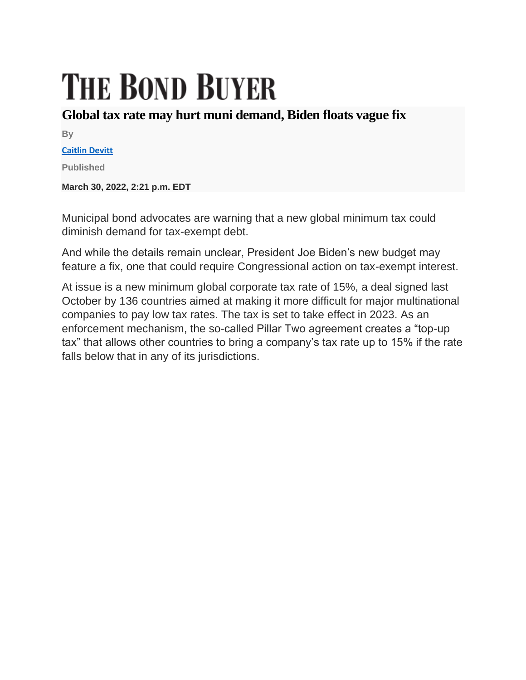## **THE BOND BUYER**

## **Global tax rate may hurt muni demand, Biden floats vague fix**

**By**

**[Caitlin Devitt](https://www.bondbuyer.com/author/caitlin-devitt)**

**Published**

**March 30, 2022, 2:21 p.m. EDT**

Municipal bond advocates are warning that a new global minimum tax could diminish demand for tax-exempt debt.

And while the details remain unclear, President Joe Biden's new budget may feature a fix, one that could require Congressional action on tax-exempt interest.

At issue is a new minimum global corporate tax rate of 15%, a deal signed last October by 136 countries aimed at making it more difficult for major multinational companies to pay low tax rates. The tax is set to take effect in 2023. As an enforcement mechanism, the so-called Pillar Two agreement creates a "top-up tax" that allows other countries to bring a company's tax rate up to 15% if the rate falls below that in any of its jurisdictions.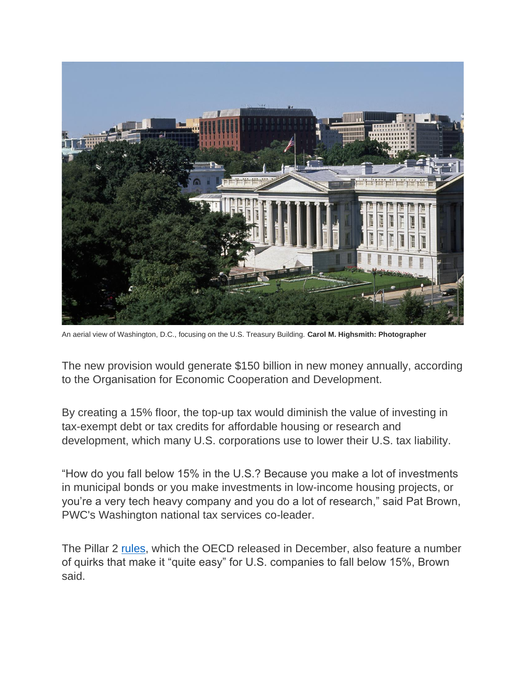

An aerial view of Washington, D.C., focusing on the U.S. Treasury Building. **Carol M. Highsmith: Photographer**

The new provision would generate \$150 billion in new money annually, according to the Organisation for Economic Cooperation and Development.

By creating a 15% floor, the top-up tax would diminish the value of investing in tax-exempt debt or tax credits for affordable housing or research and development, which many U.S. corporations use to lower their U.S. tax liability.

"How do you fall below 15% in the U.S.? Because you make a lot of investments in municipal bonds or you make investments in low-income housing projects, or you're a very tech heavy company and you do a lot of research," said Pat Brown, PWC's Washington national tax services co-leader.

The Pillar 2 [rules,](https://www.oecd.org/tax/beps/tax-challenges-arising-from-the-digitalisation-of-the-economy-global-anti-base-erosion-model-rules-pillar-two.htm) which the OECD released in December, also feature a number of quirks that make it "quite easy" for U.S. companies to fall below 15%, Brown said.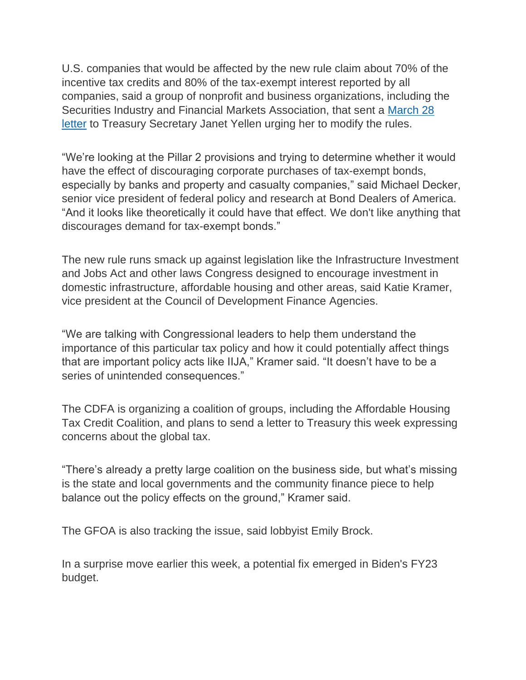U.S. companies that would be affected by the new rule claim about 70% of the incentive tax credits and 80% of the tax-exempt interest reported by all companies, said a group of nonprofit and business organizations, including the Securities Industry and Financial Markets Association, that sent a [March 28](https://www.actontaxreform.com/media/2rajzhox/2022-multitrade-letter-oecd-model-rules-loss-of-tax-incentives-final.pdf)  [letter](https://www.actontaxreform.com/media/2rajzhox/2022-multitrade-letter-oecd-model-rules-loss-of-tax-incentives-final.pdf) to Treasury Secretary Janet Yellen urging her to modify the rules.

"We're looking at the Pillar 2 provisions and trying to determine whether it would have the effect of discouraging corporate purchases of tax-exempt bonds, especially by banks and property and casualty companies," said Michael Decker, senior vice president of federal policy and research at Bond Dealers of America. "And it looks like theoretically it could have that effect. We don't like anything that discourages demand for tax-exempt bonds."

The new rule runs smack up against legislation like the Infrastructure Investment and Jobs Act and other laws Congress designed to encourage investment in domestic infrastructure, affordable housing and other areas, said Katie Kramer, vice president at the Council of Development Finance Agencies.

"We are talking with Congressional leaders to help them understand the importance of this particular tax policy and how it could potentially affect things that are important policy acts like IIJA," Kramer said. "It doesn't have to be a series of unintended consequences."

The CDFA is organizing a coalition of groups, including the Affordable Housing Tax Credit Coalition, and plans to send a letter to Treasury this week expressing concerns about the global tax.

"There's already a pretty large coalition on the business side, but what's missing is the state and local governments and the community finance piece to help balance out the policy effects on the ground," Kramer said.

The GFOA is also tracking the issue, said lobbyist Emily Brock.

In a surprise move earlier this week, a potential fix emerged in Biden's FY23 budget.